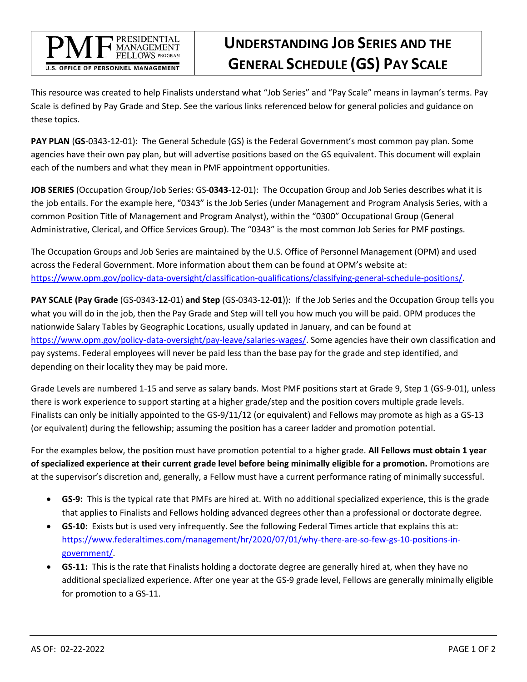

## **UNDERSTANDING JOB SERIES AND THE GENERAL SCHEDULE (GS) PAY SCALE**

This resource was created to help Finalists understand what "Job Series" and "Pay Scale" means in layman's terms. Pay Scale is defined by Pay Grade and Step. See the various links referenced below for general policies and guidance on these topics.

**PAY PLAN** (**GS**-0343-12-01): The General Schedule (GS) is the Federal Government's most common pay plan. Some agencies have their own pay plan, but will advertise positions based on the GS equivalent. This document will explain each of the numbers and what they mean in PMF appointment opportunities.

**JOB SERIES** (Occupation Group/Job Series: GS-**0343**-12-01): The Occupation Group and Job Series describes what it is the job entails. For the example here, "0343" is the Job Series (under Management and Program Analysis Series, with a common Position Title of Management and Program Analyst), within the "0300" Occupational Group (General Administrative, Clerical, and Office Services Group). The "0343" is the most common Job Series for PMF postings.

The Occupation Groups and Job Series are maintained by the U.S. Office of Personnel Management (OPM) and used across the Federal Government. More information about them can be found at OPM's website at: [https://www.opm.gov/policy-data-oversight/classification-qualifications/classifying-general-schedule-positions/.](https://www.opm.gov/policy-data-oversight/classification-qualifications/classifying-general-schedule-positions/)

**PAY SCALE (Pay Grade** (GS-0343-**12**-01) **and Step** (GS-0343-12-**01**)): If the Job Series and the Occupation Group tells you what you will do in the job, then the Pay Grade and Step will tell you how much you will be paid. OPM produces the nationwide Salary Tables by Geographic Locations, usually updated in January, and can be found at [https://www.opm.gov/policy-data-oversight/pay-leave/salaries-wages/.](https://www.opm.gov/policy-data-oversight/pay-leave/salaries-wages/) Some agencies have their own classification and pay systems. Federal employees will never be paid less than the base pay for the grade and step identified, and depending on their locality they may be paid more.

Grade Levels are numbered 1-15 and serve as salary bands. Most PMF positions start at Grade 9, Step 1 (GS-9-01), unless there is work experience to support starting at a higher grade/step and the position covers multiple grade levels. Finalists can only be initially appointed to the GS-9/11/12 (or equivalent) and Fellows may promote as high as a GS-13 (or equivalent) during the fellowship; assuming the position has a career ladder and promotion potential.

For the examples below, the position must have promotion potential to a higher grade. **All Fellows must obtain 1 year of specialized experience at their current grade level before being minimally eligible for a promotion.** Promotions are at the supervisor's discretion and, generally, a Fellow must have a current performance rating of minimally successful.

- **GS-9:** This is the typical rate that PMFs are hired at. With no additional specialized experience, this is the grade that applies to Finalists and Fellows holding advanced degrees other than a professional or doctorate degree.
- **GS-10:** Exists but is used very infrequently. See the following Federal Times article that explains this at: [https://www.federaltimes.com/management/hr/2020/07/01/why-there-are-so-few-gs-10-positions-in](https://www.federaltimes.com/management/hr/2020/07/01/why-there-are-so-few-gs-10-positions-in-government/)[government/.](https://www.federaltimes.com/management/hr/2020/07/01/why-there-are-so-few-gs-10-positions-in-government/)
- **GS-11:** This is the rate that Finalists holding a doctorate degree are generally hired at, when they have no additional specialized experience. After one year at the GS-9 grade level, Fellows are generally minimally eligible for promotion to a GS-11.